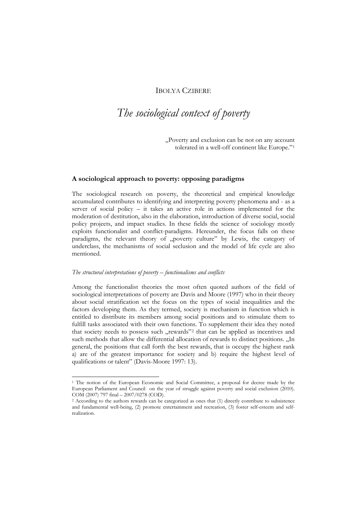## IBOLYA CZIBERE

# *The sociological context of poverty*

"Poverty and exclusion can be not on any account tolerated in a well-off continent like Europe."[1](#page-0-0)

## **A sociological approach to poverty: opposing paradigms**

The sociological research on poverty, the theoretical and empirical knowledge accumulated contributes to identifying and interpreting poverty phenomena and - as a server of social policy – it takes an active role in actions implemented for the moderation of destitution, also in the elaboration, introduction of diverse social, social policy projects, and impact studies. In these fields the science of sociology mostly exploits functionalist and conflict-paradigms. Hereunder, the focus falls on these paradigms, the relevant theory of "poverty culture" by Lewis, the category of underclass, the mechanisms of social seclusion and the model of life cycle are also mentioned.

#### *The structural interpretations of poverty – functionalisms and conflicts*

Among the functionalist theories the most often quoted authors of the field of sociological interpretations of poverty are Davis and Moore (1997) who in their theory about social stratification set the focus on the types of social inequalities and the factors developing them. As they termed, society is mechanism in function which is entitled to distribute its members among social positions and to stimulate them to fulfill tasks associated with their own functions. To supplement their idea they noted that society needs to possess such "rewards"<sup>[2](#page-0-1)</sup> that can be applied as incentives and such methods that allow the differential allocation of rewards to distinct positions. "In general, the positions that call forth the best rewards, that is occupy the highest rank a) are of the greatest importance for society and b) require the highest level of qualifications or talent" (Davis-Moore 1997: 13).

<span id="page-0-0"></span><sup>1</sup> The notion of the European Economic and Social Committee, a proposal for decree made by the European Parliament and Council on the year of struggle against poverty and social exclusion (2010). COM (2007) 797 final – 2007/0278 (COD).

<span id="page-0-1"></span><sup>2</sup> According to the authors rewards can be categorized as ones that (1) directly contribute to subsistence and fundamental well-being, (2) promote entertainment and recreation, (3) foster self-esteem and selfrealization.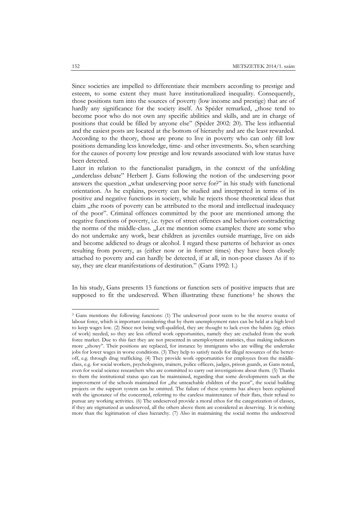Since societies are impelled to differentiate their members according to prestige and esteem, to some extent they must have institutionalized inequality. Consequently, those positions turn into the sources of poverty (low income and prestige) that are of hardly any significance for the society itself. As Spéder remarked, "those tend to become poor who do not own any specific abilities and skills, and are in charge of positions that could be filled by anyone else" (Spéder 2002: 20). The less influential and the easiest posts are located at the bottom of hierarchy and are the least rewarded. According to the theory, those are prone to live in poverty who can only fill low positions demanding less knowledge, time- and other investments. So, when searching for the causes of poverty low prestige and low rewards associated with low status have been detected.

Later in relation to the functionalist paradigm, in the context of the unfolding "underclass debate" Herbert J. Gans following the notion of the undeserving poor answers the question "what undeserving poor serve for?" in his study with functional orientation. As he explains, poverty can be studied and interpreted in terms of its positive and negative functions in society, while he rejects those theoretical ideas that claim "the roots of poverty can be attributed to the moral and intellectual inadequacy of the poor". Criminal offences committed by the poor are mentioned among the negative functions of poverty, i.e. types of street offences and behaviors contradicting the norms of the middle-class. "Let me mention some examples: there are some who do not undertake any work, bear children as juveniles outside marriage, live on aids and become addicted to drugs or alcohol. I regard these patterns of behavior as ones resulting from poverty, as (either now or in former times) they have been closely attached to poverty and can hardly be detected, if at all, in non-poor classes As if to say, they are clear manifestations of destitution." (Gans 1992: 1.)

In his study, Gans presents 15 functions or function sets of positive impacts that are supposed to fit the undeserved. When illustrating these functions<sup>[3](#page-1-0)</sup> he shows the

<span id="page-1-0"></span><sup>&</sup>lt;sup>3</sup> Gans mentions the following functions: (1) The undeserved poor seem to be the reserve source of labour force, which is important considering that by them unemployment rates can be held at a high level to keep wages low. (2) Since not being well-qualified, they are thought to lack even the habits (eg. ethics of work) needed, so they are less offered work opportunities, namely they are excluded from the work force market. Due to this fact they are not presented in unemployment statistics, thus making indicators more "showy". Their positions are replaced, for instance by immigrants who are willing the undertake jobs for lower wages in worse conditions. (3) They help to satisfy needs for illegal resources of the betteroff, e.g. through drug trafficking. (4) They provide work opportunities for employees from the middleclass, e.g. for social workers, psychologissts, trainers, police officers, judges, prison guards, as Gans noted, even for social science researchers who are committed to carry out investigations about them. (5) Thanks to them the institutional status quo can be maintained, regarding that some developments such as the improvement of the schools maintained for "the unteachable children of the poor", the social building projects or the support system can be omitted. The failure of these systems has always been explained with the ignorance of the concerned, referring to the careless maintenance of their flats, their refusal to pursue any working activities. (6) The undeserved provide a moral ethos for the categorization of classes, if they are stigmatized as undeserved, all the others above them are considered as deserving. It is nothing more than the legitimation of class hierarchy. (7) Also in maintaining the social norms the undeserved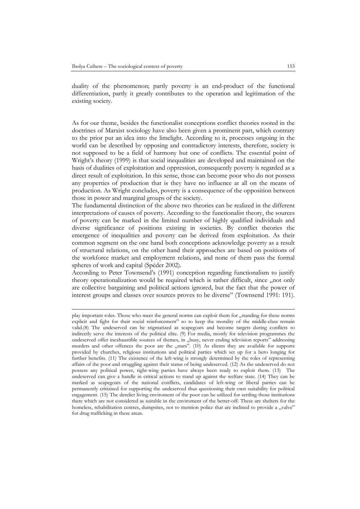duality of the phenomenon; partly poverty is an end-product of the functional differentiation, partly it greatly contributes to the operation and legitimation of the existing society.

As for our theme, besides the functionalist conceptions conflict theories rooted in the doctrines of Marxist sociology have also been given a prominent part, which contrary to the prior put an idea into the limelight. According to it, processes ongoing in the world can be described by opposing and contradictory interests, therefore, society is not supposed to be a field of harmony but one of conflicts. The essential point of Wright's theory (1999) is that social inequalities are developed and maintained on the basis of dualities of exploitation and oppression, consequently poverty is regarded as a direct result of exploitation. In this sense, those can become poor who do not possess any properties of production that is they have no influence at all on the means of production. As Wright concludes, poverty is a consequence of the opposition between those in power and marginal groups of the society.

The fundamental distinction of the above two theories can be realized in the different interpretations of causes of poverty. According to the functionalist theory, the sources of poverty can be marked in the limited number of highly qualified individuals and diverse significance of positions existing in societies. By conflict theories the emergence of inequalities and poverty can be derived from exploitation. As their common segment on the one hand both conceptions acknowledge poverty as a result of structural relations, on the other hand their approaches are based on positions of the workforce market and employment relations, and none of them pass the formal spheres of work and capital (Spéder 2002).

According to Peter Townsend's (1991) conception regarding functionalism to justify theory operationalization would be required which is rather difficult, since "not only are collective bargaining and political actions ignored, but the fact that the power of interest groups and classes over sources proves to be diverse" (Townsend 1991: 191).

play important roles. Those who meet the general norms can exploit them for "standing for these norms explicit and fight for their social reinforcement" so to keep the morality of the middle-class remain valid.(8) The undeserved can be stigmatized as scapegoats and become targets during conflicts to indirectly serve the interests of the political elite. (9) For media, mostly for television programmes the undeserved offer inexhaustible sources of themes, in "busy, never ending television reports" addressing murders and other offences the poor are the "stars". (10) As clients they are available for supports provided by churches, religious institutions and political parties which set up for a hero longing for further benefits. (11) The existence of the left-wing is strongly determined by the roles of representing affairs of the poor and struggling against their status of being undeserved. (12) As the undeserved do not possess any political power, right-wing parties have always been ready to exploit them. (13) The undeserved can give a handle in critical actions to stand up against the welfare state. (14) They can be marked as scapegoats of the national conflicts, candidates of left-wing or liberal parties can be permanently critizised for supporting the undeserved thus questioning their own suitability for political engagement. (15) The derelict living enviroment of the poor can be utilized for settling those institutions there which are not considered as suitable in the enviroment of the better-off. These are shelters for the homeless, rehabilitation centres, dumpsites, not to mention police that are inclined to provide a "valve" for drug trafficking in these areas.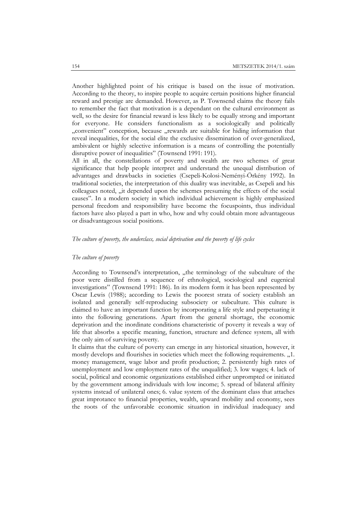Another highlighted point of his critique is based on the issue of motivation. According to the theory, to inspire people to acquire certain positions higher financial reward and prestige are demanded. However, as P. Townsend claims the theory fails to remember the fact that motivation is a dependant on the cultural environment as well, so the desire for financial reward is less likely to be equally strong and important for everyone. He considers functionalism as a sociologically and politically "convenient" conception, because "rewards are suitable for hiding information that reveal inequalities, for the social elite the exclusive dissemination of over-generalized, ambivalent or highly selective information is a means of controlling the potentially disruptive power of inequalities" (Townsend 1991: 191).

All in all, the constellations of poverty and wealth are two schemes of great significance that help people interpret and understand the unequal distribution of advantages and drawbacks in societies (Csepeli-Kolosi-Neményi-Örkény 1992). In traditional societies, the interpretation of this duality was inevitable, as Csepeli and his colleagues noted, "it depended upon the schemes presuming the effects of the social causes". In a modern society in which individual achievement is highly emphasized personal freedom and responsibility have become the focuspoints, thus individual factors have also played a part in who, how and why could obtain more advantageous or disadvantageous social positions.

### *The culture of poverty, the underclass, social deprivation and the poverty of life cycles*

#### *The culture of poverty*

According to Townsend's interpretation, "the terminology of the subculture of the poor were distilled from a sequence of ethnological, sociological and eugenical investigations" (Townsend 1991: 186). In its modern form it has been represented by Oscar Lewis (1988); according to Lewis the poorest strata of society establish an isolated and generally self-reproducing subsociety or subculture. This culture is claimed to have an important function by incorporating a life style and perpetuating it into the following generations. Apart from the general shortage, the economic deprivation and the inordinate conditions characteristic of poverty it reveals a way of life that absorbs a specific meaning, function, structure and defence system, all with the only aim of surviving poverty.

It claims that the culture of poverty can emerge in any historical situation, however, it mostly develops and flourishes in societies which meet the following requirements. "1. money management, wage labor and profit production; 2. persistently high rates of unemployment and low employment rates of the unqualified; 3. low wages; 4. lack of social, political and economic organizations established either unprompted or initiated by the government among individuals with low income; 5. spread of bilateral affinity systems instead of unilateral ones; 6. value system of the dominant class that attaches great improtance to financial properties, wealth, upward mobility and economy, sees the roots of the unfavorable economic situation in individual inadequacy and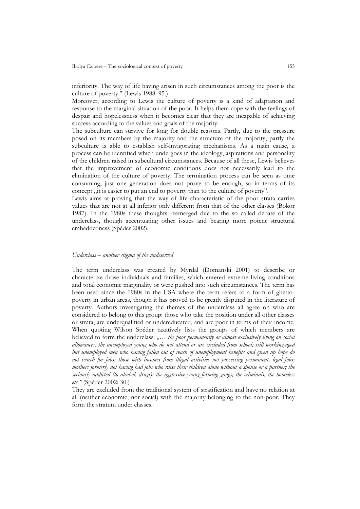inferiority. The way of life having arisen in such circumstances among the poor is the culture of poverty." (Lewis 1988: 95.)

Moreover, according to Lewis the culture of poverty is a kind of adaptation and response to the marginal situation of the poor. It helps them cope with the feelings of despair and hopelessness when it becomes clear that they are incapable of achieving success according to the values and goals of the majority.

The subculture can survive for long for double reasons. Partly, due to the pressure posed on its members by the majority and the structure of the majority, partly the subculture is able to establish self-invigorating mechanisms. As a main cause, a process can be identified which undergoes in the ideology, aspirations and personality of the children raised in subcultural circumstances. Because of all these, Lewis believes that the improvement of economic conditions does not necessarily lead to the elimination of the culture of poverty. The termination process can be seen as time consuming, just one generation does not prove to be enough, so in terms of its concept , it is easier to put an end to poverty than to the culture of poverty".

Lewis aims at proving that the way of life characteristic of the poor strata carries values that are not at all inferior only different from that of the other classes (Bokor 1987). In the 1980s these thoughts reemerged due to the so called debate of the underclass, though accentuating other issues and bearing more potent structural embeddedness (Spéder 2002).

## *Underclass – another stigma of the undeserved*

The term underclass was created by Myrdal (Domanski 2001) to describe or characterize those individuals and families, which entered extreme living conditions and total economic marginality or were pushed into such circumstances. The term has been used since the 1980s in the USA where the term refers to a form of ghettopoverty in urban areas, though it has proved to be greatly disputed in the literature of poverty. Authors investigating the themes of the underclass all agree on who are considered to belong to this group: those who take the position under all other classes or strata, are underqualified or undereducated, and are poor in terms of their income. When quoting Wilson Spéder taxatively lists the groups of which members are believed to form the underclass: ..... the poor permanently or almost exclusively living on social *allowances; the unemployed young who do not attend or are excluded from school; still working-aged but unemployed men who having fallen out of reach of unemployment benefits and given up hope do not search for jobs; those with incomes from illegal activities not possessing permanent, legal jobs; mothers formerly not having had jobs who raise their children alone without a spouse or a partner; the seriously addicted (to alcohol, drugs); the aggressive young forming gangs; the criminals, the homeless etc."* (Spéder 2002: 30.)

They are excluded from the traditional system of stratification and have no relation at all (neither economic, nor social) with the majority belonging to the non-poor. They form the stratum under classes.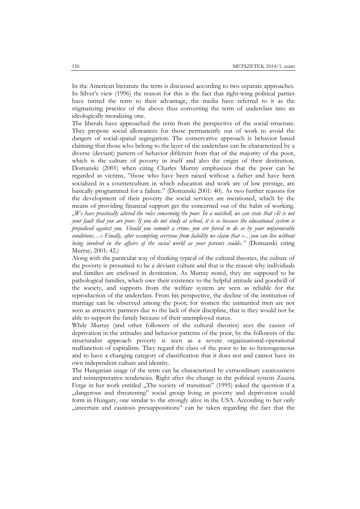In the American literature the term is discussed according to two separate approaches. In Silver's view (1996) the reason for this is the fact that right-wing political parties have turned the term to their advantage, the media have referred to it as the stigmatizing practice of the above thus converting the term of underclass into an ideologically moralizing one.

The liberals have approached the term from the perspective of the social structure. They propose social allowances for those permanently out of work to avoid the dangers of social-spatial segregation. The conservative approach is behavior based claiming that those who belong to the layer of the underclass can be characterized by a diverse (deviant) pattern of behavior different from that of the majority of the poor, which is the culture of poverty in itself and also the origin of their destitution. Domanski (2001) when citing Charles Murray emphasizes that the poor can be regarded as victims, "those who have been raised without a father and have been socialized in a counterculture in which education and work are of low prestige, are basically programmed for a failure." (Domanski 2001: 40). As two further reasons for the development of their poverty the social services are mentioned, which by the means of providing financial support get the concerned out of the habit of working. *"We have practically altered the rules concerning the poor. In a nutshell, we can state that »It is not your fault that you are poor. If you do not study at school, it is so because the educational system is prejudiced against you. Should you commit a crime, you are forced to do so by your unfavourable conditions…« Finally, after exempting everyone from liability we claim that »…you can live without being involved in the affairs of the social world as your parents could«."* (Domanski citing Murray, 2001: 42.)

Along with the particular way of thinking typical of the cultural theories, the culture of the poverty is presumed to be a deviant culture and that is the reason why individuals and families are enclosed in destitution. As Murray noted, they are supposed to be pathological families, which owe their existence to the helpful attitude and goodwill of the society, and supports from the welfare system are seen as reliable for the reproduction of the underclass. From his perspective, the decline of the institution of marriage can be observed among the poor; for women the unmarried men are not seen as attractive partners due to the lack of their discipline, that is they would not be able to support the family because of their unemployed status.

While Murray (and other followers of the cultural theories) sees the causes of deprivation in the attitudes and behavior patterns of the poor, by the followers of the structuralist approach poverty is seen as a severe organizational-operational malfunction of capitalism. They regard the class of the poor to be so heterogeneous and to have a changing category of classification that it does not and cannot have its own independent culture and identity.

The Hungarian usage of the term can be characterized by extraordinary cautiousness and reinterpretative tendencies. Right after the change in the political system Zsuzsa Ferge in her work entitled "The society of transition" (1995) asked the question if a "dangerous and threatening" social group living in poverty and deprivation could form in Hungary, one similar to the strongly alive in the USA. According to her only , uncertain and cautious presuppositions" can be taken regarding the fact that the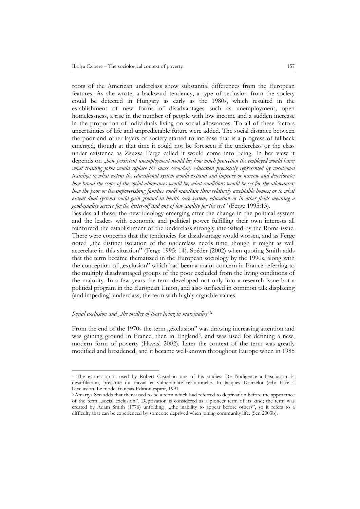roots of the American underclass show substantial differences from the European features. As she wrote, a backward tendency, a type of seclusion from the society could be detected in Hungary as early as the 1980s, which resulted in the establishment of new forms of disadvantages such as unemployment, open homelessness, a rise in the number of people with low income and a sudden increase in the proportion of individuals living on social allowances. To all of these factors uncertainties of life and unpredictable future were added. The social distance between the poor and other layers of society started to increase that is a progress of fallback emerged, though at that time it could not be foreseen if the underclass or the class under existence as Zsuzsa Ferge called it would come into being. In her view it depends on *"how persistent unemployment would be; how much protection the employed would have;*  what training form would replace the mass secondary education previously represented by vocational *training; to what extent the educational system would expand and improve or narrow and deteriorate; how broad the scope of the social allowances would be; what conditions would be set for the allowances; how the poor or the impoverishing families could maintain their relatively acceptable homes; or to what extent dual systems could gain ground in health care system, education or in other fields meaning a good-quality service for the better-off and one of low quality for the rest"* (Ferge 1995:13).

Besides all these, the new ideology emerging after the change in the political system and the leaders with economic and political power fulfilling their own interests all reinforced the establishment of the underclass strongly intensified by the Roma issue. There were concerns that the tendencies for disadvantage would worsen, and as Ferge noted "the distinct isolation of the underclass needs time, though it might as well accerelate in this situation" (Ferge 1995: 14). Spéder (2002) when quoting Smith adds that the term became thematized in the European sociology by the 1990s, along with the conception of "exclusion" which had been a major concern in France referring to the multiply disadvantaged groups of the poor excluded from the living conditions of the majority. In a few years the term developed not only into a research issue but a political program in the European Union, and also surfaced in common talk displacing (and impeding) underclass, the term with highly arguable values.

## *Social exclusion and "the medley of those living in marginality"[4](#page-6-0)*

From the end of the 1970s the term "exclusion" was drawing increasing attention and was gaining ground in France, then in England<sup>[5](#page-6-1)</sup>, and was used for defining a new, modern form of poverty (Havasi 2002). Later the context of the term was greatly modified and broadened, and it became well-known throughout Europe when in 1985

<span id="page-6-0"></span><sup>4</sup> The expression is used by Robert Castel in one of his studies: De l'indigence a l'exclusion, la désaffiliation, précarité du travail et vulnerabilité relationnelle. In Jacques Donzelot (ed): Face á l'exclusion. Le model français Edition espirit, 1991

<span id="page-6-1"></span><sup>5</sup> Amartya Sen adds that there used to be a term which had referred to deprivation before the appearance of the term "social exclusion". Deprivation is considered as a pioneer term of its kind; the term was created by Adam Smith (1776) unfolding "the inability to appear before others", so it refers to a difficulty that can be experienced by someone deprived when joning community life. (Sen 2003b).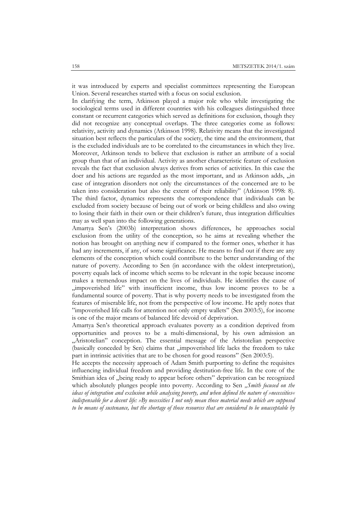it was introduced by experts and specialist committees representing the European Union. Several researches started with a focus on social exclusion.

In clarifying the term, Atkinson played a major role who while investigating the sociological terms used in different countries with his colleagues distinguished three constant or recurrent categories which served as definitions for exclusion, though they did not recognize any conceptual overlaps. The three categories come as follows: relativity, activity and dynamics (Atkinson 1998). Relativity means that the investigated situation best reflects the particulars of the society, the time and the environment, that is the excluded individuals are to be correlated to the circumstances in which they live. Moreover, Atkinson tends to believe that exclusion is rather an attribute of a social group than that of an individual. Activity as another characteristic feature of exclusion reveals the fact that exclusion always derives from series of activities. In this case the doer and his actions are regarded as the most important, and as Atkinson adds, "in case of integration disorders not only the circumstances of the concerned are to be taken into consideration but also the extent of their reliability" (Atkinson 1998: 8). The third factor, dynamics represents the correspondence that individuals can be excluded from society because of being out of work or being childless and also owing to losing their faith in their own or their children's future, thus integration difficulties may as well span into the following generations.

Amartya Sen's (2003b) interpretation shows differences, he approaches social exclusion from the utility of the conception, so he aims at revealing whether the notion has brought on anything new if compared to the former ones, whether it has had any increments, if any, of some significance. He means to find out if there are any elements of the conception which could contribute to the better understanding of the nature of poverty. According to Sen (in accordance with the oldest interpretation), poverty equals lack of income which seems to be relevant in the topic because income makes a tremendous impact on the lives of individuals. He identifies the cause of "impoverished life" with insufficient income, thus low income proves to be a fundamental source of poverty. That is why poverty needs to be investigated from the features of miserable life, not from the perspective of low income. He aptly notes that "impoverished life calls for attention not only empty wallets" (Sen 2003:5), for income is one of the major means of balanced life devoid of deprivation.

Amartya Sen's theoretical approach evaluates poverty as a condition deprived from opportunities and proves to be a multi-dimensional, by his own admission an "Aristotelian" conception. The essential message of the Aristotelian perspective (basically conceded by Sen) claims that "impoverished life lacks the freedom to take part in intrinsic activities that are to be chosen for good reasons" (Sen 2003:5).

He accepts the necessity approach of Adam Smith purporting to define the requisites influencing individual freedom and providing destitution-free life. In the core of the Smithian idea of "being ready to appear before others" deprivation can be recognized which absolutely plunges people into poverty. According to Sen "Smith focused on the *ideas of integration and exclusion while analysing poverty, and when defined the nature of »necessities« indispensable for a decent life: »By necessities I not only mean those material needs which are supposed to be means of sustenance, but the shortage of those resources that are considered to be unacceptable by*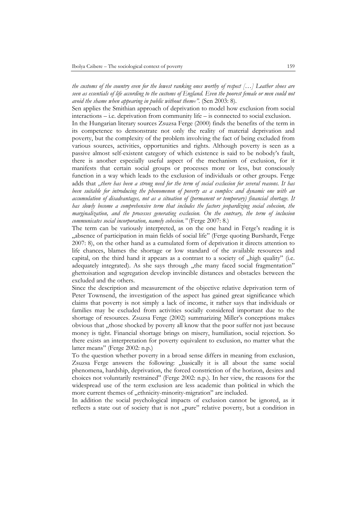*the customs of the country even for the lowest ranking ones worthy of respect […] Leather shoes are seen as essentials of life according to the customs of England. Even the poorest female or men could not avoid the shame when appearing in public without them«"*. (Sen 2003: 8).

Sen applies the Smithian approach of deprivation to model how exclusion from social interactions – i.e. deprivation from community life – is connected to social exclusion.

In the Hungarian literary sources Zsuzsa Ferge (2000) finds the benefits of the term in its competence to demonstrate not only the reality of material deprivation and poverty, but the complexity of the problem involving the fact of being excluded from various sources, activities, opportunities and rights. Although poverty is seen as a passive almost self-existent category of which existence is said to be nobody's fault, there is another especially useful aspect of the mechanism of exclusion, for it manifests that certain social groups or processes more or less, but consciously function in a way which leads to the exclusion of individuals or other groups. Ferge adds that "there has been a strong need for the term of social exclusion for several reasons. It has *been suitable for introducing the phenomenon of poverty as a complex and dynamic one with an accumulation of disadvantages, not as a situation of (permanent or temporary) financial shortage. It has slowly become a comprehensive term that includes the factors jeopardizing social cohesion, the marginalization, and the processes generating exclusion. On the contrary, the term of inclusion communicates social incorporation, namely cohesion."* (Ferge 2007: 8.)

The term can be variously interpreted, as on the one hand in Ferge's reading it is "absence of participation in main fields of social life" (Ferge quoting Burshardt, Ferge 2007: 8), on the other hand as a cumulated form of deprivation it directs attention to life chances, blames the shortage or low standard of the available resources and capital, on the third hand it appears as a contrast to a society of "high quality" (i.e. adequately integrated). As she says through "the many faced social fragmentation" ghettoisation and segregation develop invincible distances and obstacles between the excluded and the others.

Since the description and measurement of the objective relative deprivation term of Peter Townsend, the investigation of the aspect has gained great significance which claims that poverty is not simply a lack of income, it rather says that individuals or families may be excluded from activities socially considered important due to the shortage of resources. Zsuzsa Ferge (2002) summarizing Miller's conceptions makes obvious that "those shocked by poverty all know that the poor suffer not just because money is tight. Financial shortage brings on misery, humiliation, social rejection. So there exists an interpretation for poverty equivalent to exclusion, no matter what the latter means" (Ferge 2002: n.p.)

To the question whether poverty in a broad sense differs in meaning from exclusion, Zsuzsa Ferge answers the following: "basically it is all about the same social phenomena, hardship, deprivation, the forced constriction of the horizon, desires and choices not voluntarily restrained" (Ferge 2002: n.p.). In her view, the reasons for the widespread use of the term exclusion are less academic than political in which the more current themes of "ethnicity-minority-migration" are included.

In addition the social psychological impacts of exclusion cannot be ignored, as it reflects a state out of society that is not "pure" relative poverty, but a condition in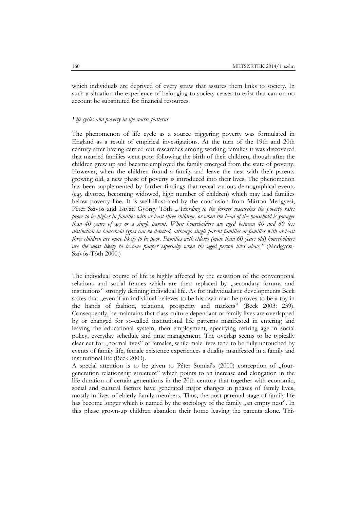which individuals are deprived of every straw that assures them links to society. In such a situation the experience of belonging to society ceases to exist that can on no account be substituted for financial resources.

#### *Life cycles and poverty in life course patterns*

The phenomenon of life cycle as a source triggering poverty was formulated in England as a result of empirical investigations. At the turn of the 19th and 20th century after having carried out researches among working families it was discovered that married families went poor following the birth of their children, though after the children grew up and became employed the family emerged from the state of poverty. However, when the children found a family and leave the nest with their parents growing old, a new phase of poverty is introduced into their lives. The phenomenon has been supplemented by further findings that reveal various demographical events (e.g. divorce, becoming widowed, high number of children) which may lead families below poverty line. It is well illustrated by the conclusion from Márton Medgyesi, Péter Szívós and István György Tóth "According to the former researches the poverty rates *prove to be higher in families with at least three children, or when the head of the household is younger than 40 years of age or a single parent. When householders are aged between 40 and 60 less distinction in household types can be detected, although single parent families or families with at least three children are more likely to be poor. Families with elderly (more than 60 years old) householders are the most likely to become pauper especially when the aged person lives alone."* (Medgyesi-Szívós-Tóth 2000.)

The individual course of life is highly affected by the cessation of the conventional relations and social frames which are then replaced by "secondary forums and institutions" strongly defining individual life. As for individualistic developments Beck states that , even if an individual believes to be his own man he proves to be a toy in the hands of fashion, relations, prosperity and markets" (Beck 2003: 239). Consequently, he maintains that class-culture dependant or family lives are overlapped by or changed for so-called institutional life patterns manifested in entering and leaving the educational system, then employment, specifying retiring age in social policy, everyday schedule and time management. The overlap seems to be typically clear cut for "normal lives" of females, while male lives tend to be fully untouched by events of family life, female existence experiences a duality manifested in a family and institutional life (Beck 2003).

A special attention is to be given to Péter Somlai's (2000) conception of "fourgeneration relationship structure" which points to an increase and elongation in the life duration of certain generations in the 20th century that together with economic, social and cultural factors have generated major changes in phases of family lives, mostly in lives of elderly family members. Thus, the post-parental stage of family life has become longer which is named by the sociology of the family "an empty nest". In this phase grown-up children abandon their home leaving the parents alone. This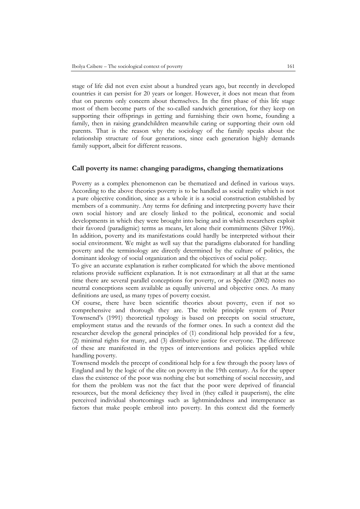stage of life did not even exist about a hundred years ago, but recently in developed countries it can persist for 20 years or longer. However, it does not mean that from that on parents only concern about themselves. In the first phase of this life stage most of them become parts of the so-called sandwich generation, for they keep on supporting their offsprings in getting and furnishing their own home, founding a family, then in raising grandchildren meanwhile caring or supporting their own old parents. That is the reason why the sociology of the family speaks about the relationship structure of four generations, since each generation highly demands family support, albeit for different reasons.

## **Call poverty its name: changing paradigms, changing thematizations**

Poverty as a complex phenomenon can be thematized and defined in various ways. According to the above theories poverty is to be handled as social reality which is not a pure objective condition, since as a whole it is a social construction established by members of a community. Any terms for defining and interpreting poverty have their own social history and are closely linked to the political, economic and social developments in which they were brought into being and in which researchers exploit their favored (paradigmic) terms as means, let alone their commitments (Silver 1996). In addition, poverty and its manifestations could hardly be interpreted without their social environment. We might as well say that the paradigms elaborated for handling poverty and the terminology are directly determined by the culture of politics, the dominant ideology of social organization and the objectives of social policy.

To give an accurate explanation is rather complicated for which the above mentioned relations provide sufficient explanation. It is not extraordinary at all that at the same time there are several parallel conceptions for poverty, or as Spéder (2002) notes no neutral conceptions seem available as equally universal and objective ones. As many definitions are used, as many types of poverty coexist.

Of course, there have been scientific theories about poverty, even if not so comprehensive and thorough they are. The treble principle system of Peter Townsend's (1991) theoretical typology is based on precepts on social structure, employment status and the rewards of the former ones. In such a context did the researcher develop the general principles of (1) conditional help provided for a few, (2) minimal rights for many, and (3) distributive justice for everyone. The difference of these are manifested in the types of interventions and policies applied while handling poverty.

Townsend models the precept of conditional help for a few through the poory laws of England and by the logic of the elite on poverty in the 19th century. As for the upper class the existence of the poor was nothing else but something of social necessity, and for them the problem was not the fact that the poor were deprived of financial resources, but the moral deficiency they lived in (they called it pauperism), the elite perceived individual shortcomings such as lightmindedness and intemperance as factors that make people embroil into poverty. In this context did the formerly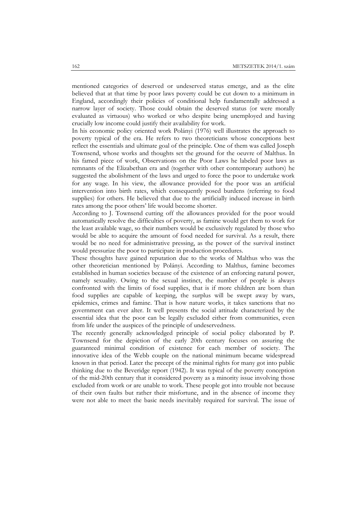mentioned categories of deserved or undeserved status emerge, and as the elite believed that at that time by poor laws poverty could be cut down to a minimum in England, accordingly their policies of conditional help fundamentally addressed a narrow layer of society. Those could obtain the deserved status (or were morally evaluated as virtuous) who worked or who despite being unemployed and having crucially low income could justify their availability for work.

In his economic policy oriented work Polányi (1976) well illustrates the approach to poverty typical of the era. He refers to two theoreticians whose conceptions best reflect the essentials and ultimate goal of the principle. One of them was called Joseph Townsend, whose works and thoughts set the ground for the oeuvre of Malthus. In his famed piece of work, Observations on the Poor Laws he labeled poor laws as remnants of the Elizabethan era and (together with other contemporary authors) he suggested the abolishment of the laws and urged to force the poor to undertake work for any wage. In his view, the allowance provided for the poor was an artificial intervention into birth rates, which consequently posed burdens (referring to food supplies) for others. He believed that due to the artificially induced increase in birth rates among the poor others' life would become shorter.

According to J. Townsend cutting off the allowances provided for the poor would automatically resolve the difficulties of poverty, as famine would get them to work for the least available wage, so their numbers would be exclusively regulated by those who would be able to acquire the amount of food needed for survival. As a result, there would be no need for administrative pressing, as the power of the survival instinct would pressurize the poor to participate in production procedures.

These thoughts have gained reputation due to the works of Malthus who was the other theoretician mentioned by Polányi. According to Malthus, famine becomes established in human societies because of the existence of an enforcing natural power, namely sexuality. Owing to the sexual instinct, the number of people is always confronted with the limits of food supplies, that is if more children are born than food supplies are capable of keeping, the surplus will be swept away by wars, epidemics, crimes and famine. That is how nature works, it takes sanctions that no government can ever alter. It well presents the social attitude characterized by the essential idea that the poor can be legally excluded either from communities, even from life under the auspices of the principle of undeservedness.

The recently generally acknowledged principle of social policy elaborated by P. Townsend for the depiction of the early 20th century focuses on assuring the guaranteed minimal condition of existence for each member of society. The innovative idea of the Webb couple on the national minimum became widespread known in that period. Later the precept of the minimal rights for many got into public thinking due to the Beveridge report (1942). It was typical of the poverty conception of the mid-20th century that it considered poverty as a minority issue involving those excluded from work or are unable to work. These people got into trouble not because of their own faults but rather their misfortune, and in the absence of income they were not able to meet the basic needs inevitably required for survival. The issue of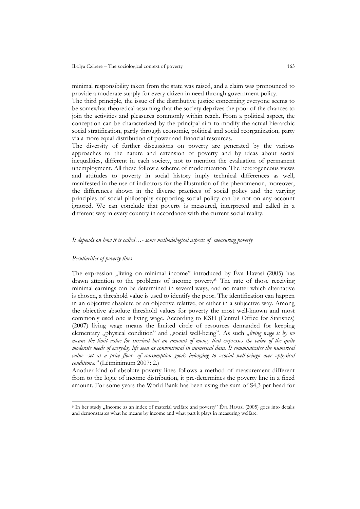minimal responsibility taken from the state was raised, and a claim was pronounced to provide a moderate supply for every citizen in need through government policy.

The third principle, the issue of the distributive justice concerning everyone seems to be somewhat theoretical assuming that the society deprives the poor of the chances to join the activities and pleasures commonly within reach. From a political aspect, the conception can be characterized by the principal aim to modify the actual hierarchic social stratification, partly through economic, political and social reorganization, party via a more equal distribution of power and financial resources.

The diversity of further discussions on poverty are generated by the various approaches to the nature and extension of poverty and by ideas about social inequalities, different in each society, not to mention the evaluation of permanent unemployment. All these follow a scheme of modernization. The heterogeneous views and attitudes to poverty in social history imply technical differences as well, manifested in the use of indicators for the illustration of the phenomenon, moreover, the differences shown in the diverse practices of social policy and the varying principles of social philosophy supporting social policy can be not on any account ignored. We can conclude that poverty is measured, interpreted and called in a different way in every country in accordance with the current social reality.

#### *It depends on how it is called…- some methodological aspects of measuring poverty*

## *Peculiarities of poverty lines*

The expression  $\mu$ iving on minimal income" introduced by Éva Havasi (2005) has drawn attention to the problems of income poverty<sup>[6.](#page-12-0)</sup> The rate of those receiving minimal earnings can be determined in several ways, and no matter which alternative is chosen, a threshold value is used to identify the poor. The identification can happen in an objective absolute or an objective relative, or either in a subjective way. Among the objective absolute threshold values for poverty the most well-known and most commonly used one is living wage. According to KSH (Central Office for Statistics) (2007) living wage means the limited circle of resources demanded for keeping elementary "physical condition" and "social well-being". As such "living wage is by no *means the limit value for survival but an amount of money that expresses the value of the quite moderate needs of everyday life seen as conventional in numerical data. It communicates the numerical value -set at a price floor- of consumption goods belonging to »social well-being« over »physical condition«."* (Létminimum 2007: 2.)

Another kind of absolute poverty lines follows a method of measurement different from to the logic of income distribution, it pre-determines the poverty line in a fixed amount. For some years the World Bank has been using the sum of \$4,3 per head for

<span id="page-12-0"></span><sup>&</sup>lt;sup>6</sup> In her study "Income as an index of material welfare and poverty" Éva Havasi (2005) goes into detalis and demonstrates what he means by income and what part it plays in measuring welfare.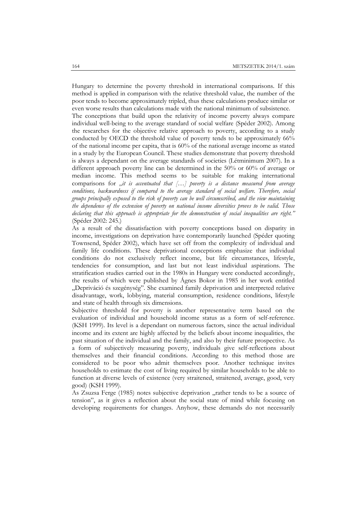Hungary to determine the poverty threshold in international comparisons. If this method is applied in comparison with the relative threshold value, the number of the poor tends to become approximately tripled, thus these calculations produce similar or even worse results than calculations made with the national minimum of subsistence.

The conceptions that build upon the relativity of income poverty always compare individual well-being to the average standard of social welfare (Spéder 2002). Among the researches for the objective relative approach to poverty, according to a study conducted by OECD the threshold value of poverty tends to be approximately 66% of the national income per capita, that is 60% of the national average income as stated in a study by the European Council. These studies demonstrate that poverty threshold is always a dependant on the average standards of societies (Létminimum 2007). In a different approach poverty line can be determined in the 50% or 60% of average or median income. This method seems to be suitable for making international comparisons for *"it is accentuated that [...] poverty is a distance measured from average conditions, backwardness if compared to the average standard of social welfare. Therefore, social groups principally exposed to the risk of poverty can be well circumscribed, and the view maintaining the dependence of the extension of poverty on national income diversities proves to be valid. Those declaring that this approach is appropriate for the demonstration of social inequalities are right."* (Spéder 2002: 245.)

As a result of the dissatisfaction with poverty conceptions based on disparity in income, investigations on deprivation have contemporarily launched (Spéder quoting Townsend, Spéder 2002), which have set off from the complexity of individual and family life conditions. These deprivational conceptions emphasize that individual conditions do not exclusively reflect income, but life circumstances, lifestyle, tendencies for consumption, and last but not least individual aspirations. The stratification studies carried out in the 1980s in Hungary were conducted accordingly, the results of which were published by Ágnes Bokor in 1985 in her work entitled "Depriváció és szegénység". She examined family deprivation and interpreted relative disadvantage, work, lobbying, material consumption, residence conditions, lifestyle and state of health through six dimensions.

Subjective threshold for poverty is another representative term based on the evaluation of individual and household income status as a form of self-reference. (KSH 1999). Its level is a dependant on numerous factors, since the actual individual income and its extent are highly affected by the beliefs about income inequalities, the past situation of the individual and the family, and also by their future prospective. As a form of subjectively measuring poverty, individuals give self-reflections about themselves and their financial conditions. According to this method those are considered to be poor who admit themselves poor. Another technique invites households to estimate the cost of living required by similar households to be able to function at diverse levels of existence (very straitened, straitened, average, good, very good) (KSH 1999).

As Zsuzsa Ferge (1985) notes subjective deprivation "rather tends to be a source of tension", as it gives a reflection about the social state of mind while focusing on developing requirements for changes. Anyhow, these demands do not necessarily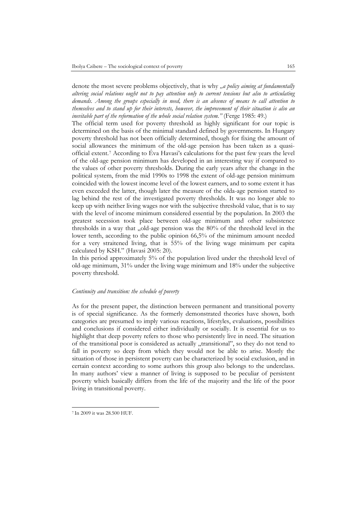denote the most severe problems objectively, that is why *na policy aiming at fundamentally altering social relations ought not to pay attention only to current tensions but also to articulating demands. Among the groups especially in need, there is an absence of means to call attention to themselves and to stand up for their interests, however, the improvement of their situation is also an inevitable part of the reformation of the whole social relation system."* (Ferge 1985: 49.)

The official term used for poverty threshold as highly significant for our topic is determined on the basis of the minimal standard defined by governments. In Hungary poverty threshold has not been officially determined, though for fixing the amount of social allowances the minimum of the old-age pension has been taken as a quasiofficial extent.[7](#page-14-0) According to Éva Havasi's calculations for the past few years the level of the old-age pension minimum has developed in an interesting way if compared to the values of other poverty thresholds. During the early years after the change in the political system, from the mid 1990s to 1998 the extent of old-age pension minimum coincided with the lowest income level of the lowest earners, and to some extent it has even exceeded the latter, though later the measure of the olda-age pension started to lag behind the rest of the investigated poverty thresholds. It was no longer able to keep up with neither living wages nor with the subjective threshold value, that is to say with the level of income minimum considered essential by the population. In 2003 the greatest secession took place between old-age minimum and other subsistence thresholds in a way that "old-age pension was the 80% of the threshold level in the lower tenth, according to the public opinion 66,5% of the minimum amount needed for a very straitened living, that is 55% of the living wage minimum per capita calculated by KSH." (Havasi 2005: 20).

In this period approximately 5% of the population lived under the threshold level of old-age minimum, 31% under the living wage minimum and 18% under the subjective poverty threshold.

#### *Continuity and transition: the schedule of poverty*

As for the present paper, the distinction between permanent and transitional poverty is of special significance. As the formerly demonstrated theories have shown, both categories are presumed to imply various reactions, lifestyles, evaluations, possibilities and conclusions if considered either individually or socially. It is essential for us to highlight that deep poverty refers to those who persistently live in need. The situation of the transitional poor is considered as actually "transitional", so they do not tend to fall in poverty so deep from which they would not be able to arise. Mostly the situation of those in persistent poverty can be characterized by social exclusion, and in certain context according to some authors this group also belongs to the underclass. In many authors' view a manner of living is supposed to be peculiar of persistent poverty which basically differs from the life of the majority and the life of the poor living in transitional poverty.

<span id="page-14-0"></span><sup>7</sup> In 2009 it was 28.500 HUF.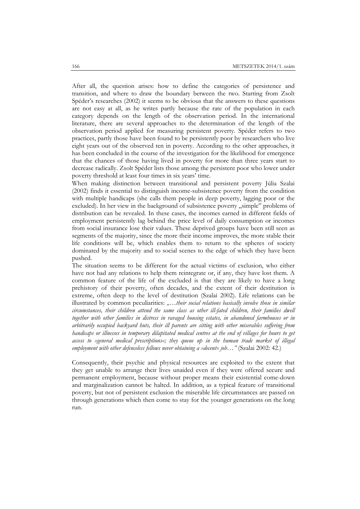After all, the question arises: how to define the categories of persistence and transition, and where to draw the boundary between the two. Starting from Zsolt Spéder's researches (2002) it seems to be obvious that the answers to these questions are not easy at all, as he writes partly because the rate of the population in each category depends on the length of the observation period. In the international literature, there are several approaches to the determination of the length of the observation period applied for measuring persistent poverty. Spéder refers to two practices, partly those have been found to be persistently poor by researchers who live eight years out of the observed ten in poverty. According to the other approaches, it has been concluded in the course of the investigation for the likelihood for emergence that the chances of those having lived in poverty for more than three years start to decrease radically. Zsolt Spéder lists those among the persistent poor who lower under poverty threshold at least four times in six years' time.

When making distinction between transitional and persistent poverty Júlia Szalai (2002) finds it essential to distinguish income-subsistence poverty from the condition with multiple handicaps (she calls them people in deep poverty, lagging poor or the excluded). In her view in the background of subsistence poverty "simple" problems of distribution can be revealed. In these cases, the incomes earned in different fields of employment persistently lag behind the price level of daily consumption or incomes from social insurance lose their values. These deprived groups have been still seen as segments of the majority, since the more their income improves, the more stable their life conditions will be, which enables them to return to the spheres of society dominated by the majority and to social scenes to the edge of which they have been pushed.

The situation seems to be different for the actual victims of exclusion, who either have not had any relations to help them reintegrate or, if any, they have lost them. A common feature of the life of the excluded is that they are likely to have a long prehistory of their poverty, often decades, and the extent of their destitution is extreme, often deep to the level of destitution (Szalai 2002). Life relations can be illustrated by common peculiarities: *"…their social relations basically involve those in similar circumstances, their children attend the same class as other ill-fated children, their families dwell together with other families in distress in ravaged housing estates, in abandoned farmhouses or in arbitrarily occupied backyard huts, their ill parents are sitting with other miserables suffering from handicaps or illnesses in temporary dilapitated medical centres at the end of villages for hours to get access to »general medical prescriptions«; they queue up in the human trade market of illegal employment with other defenceless fellows never obtaining a »decent« job…"* (Szalai 2002: 42.)

Consequently, their psychic and physical resources are exploited to the extent that they get unable to arrange their lives unaided even if they were offered secure and permanent employment, because without proper means their existential come-down and marginalization cannot be halted. In addition, as a typical feature of transitional poverty, but not of persistent exclusion the miserable life circumstances are passed on through generations which then come to stay for the younger generations on the long run.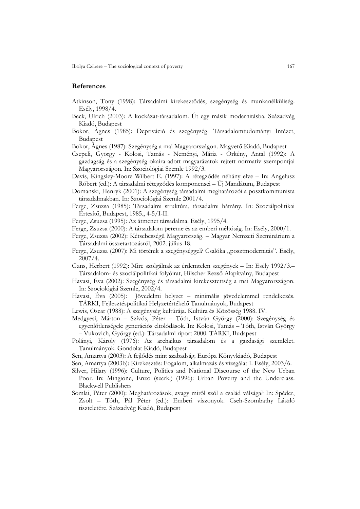## **References**

- Atkinson, Tony (1998): Társadalmi kirekesztődés, szegénység és munkanélküliség. Esély, 1998/4.
- Beck, Ulrich (2003): A kockázat-társadalom. Út egy másik modernitásba. Századvég Kiadó, Budapest
- Bokor, Ágnes (1985): Depriváció és szegénység. Társadalomtudományi Intézet, Budapest
- Bokor, Ágnes (1987): Szegénység a mai Magyarországon. Magvető Kiadó, Budapest
- Csepeli, György Kolosi, Tamás Neményi, Mária Örkény, Antal (1992): A gazdagság és a szegénység okaira adott magyarázatok rejtett normatív szempontjai Magyarországon. In: Szociológiai Szemle 1992/3.
- Davis, Kingsley-Moore Wilbert E. (1997): A rétegződés néhány elve In: Angelusz Róbert (ed.): A társadalmi rétegződés komponensei – Új Mandátum, Budapest
- Domanski, Henryk (2001): A szegénység társadalmi meghatározói a posztkommunista társadalmakban. In: Szociológiai Szemle 2001/4.
- Ferge, Zsuzsa (1985): Társadalmi struktúra, társadalmi hátrány. In: Szociálpolitikai Értesítő, Budapest, 1985., 4-5/I-II.
- Ferge, Zsuzsa (1995): Az átmenet társadalma. Esély, 1995/4.
- Ferge, Zsuzsa (2000): A társadalom pereme és az emberi méltóság. In: Esély, 2000/1.
- Ferge, Zsuzsa (2002): Kétsebességű Magyarország. Magyar Nemzeti Szeminárium a Társadalmi összetartozásról, 2002. július 18.
- Ferge, Zsuzsa (2007): Mi történik a szegénységgel? Csalóka "posztmodernitás". Esély, 2007/4.
- Gans, Herbert (1992): Mire szolgálnak az érdemtelen szegények In: Esély 1992/3.– Társadalom- és szociálpolitikai folyóirat, Hilscher Rezső Alapítvány, Budapest
- Havasi, Éva (2002): Szegénység és társadalmi kirekesztettség a mai Magyarországon. In: Szociológiai Szemle, 2002/4.
- Havasi, Éva (2005): Jövedelmi helyzet minimális jövedelemmel rendelkezés. TÁRKI, Fejlesztéspolitikai Helyzetértékelő Tanulmányok, Budapest
- Lewis, Oscar (1988): A szegénység kultúrája. Kultúra és Közösség 1988. IV.
- Medgyesi, Márton Szívós, Péter Tóth, István György (2000): Szegénység és egyenlőtlenségek: generációs eltolódások. In: Kolosi, Tamás – Tóth, István György – Vukovich, György (ed.): Társadalmi riport 2000. TÁRKI, Budapest
- Polányi, Károly (1976): Az archaikus társadalom és a gazdasági szemlélet. Tanulmányok. Gondolat Kiadó, Budapest
- Sen, Amartya (2003): A fejlődés mint szabadság. Európa Könyvkiadó, Budapest
- Sen, Amartya (2003b): Kirekesztés: Fogalom, alkalmazás és vizsgálat I. Esély, 2003/6.
- Silver, Hilary (1996): Culture, Politics and National Discourse of the New Urban Poor. In: Mingione, Enzo (szerk.) (1996): Urban Poverty and the Underclass. Blackwell Publishers
- Somlai, Péter (2000): Meghatározások, avagy miről szól a család válsága? In: Spéder, Zsolt – Tóth, Pál Péter (ed.): Emberi viszonyok. Cseh-Szombathy László tiszteletére. Századvég Kiadó, Budapest